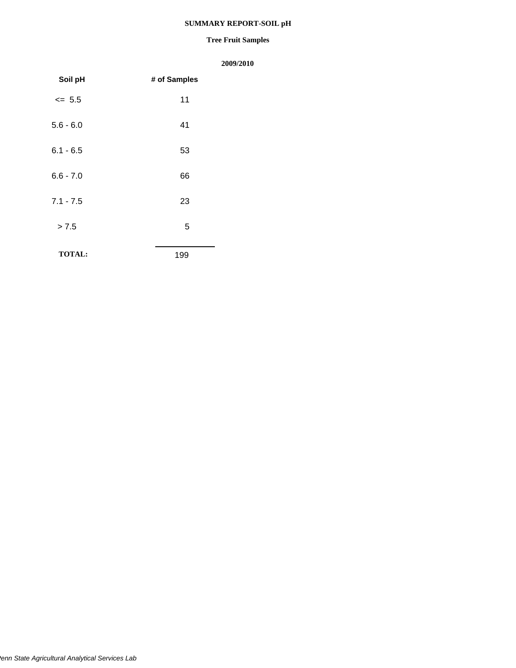### **SUMMARY REPORT-SOIL pH**

#### **Tree Fruit Samples**

| Soil pH       | # of Samples |
|---------------|--------------|
| $\leq 5.5$    | 11           |
| $5.6 - 6.0$   | 41           |
| $6.1 - 6.5$   | 53           |
| $6.6 - 7.0$   | 66           |
| $7.1 - 7.5$   | 23           |
| > 7.5         | 5            |
| <b>TOTAL:</b> | 199          |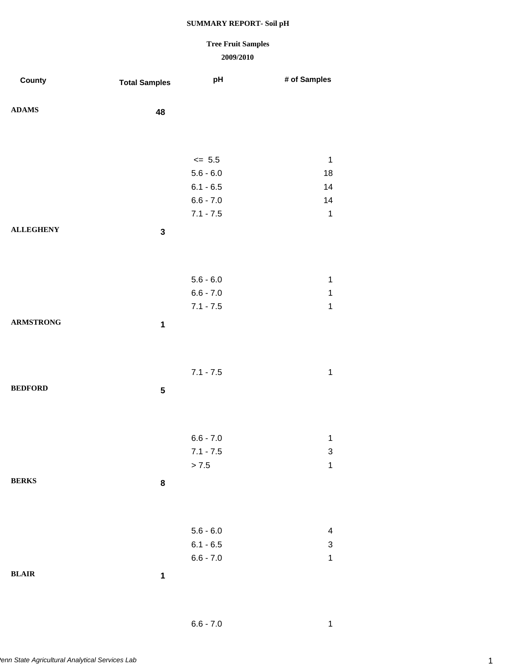## **Tree Fruit Samples**

### **2009/2010**

| County           | <b>Total Samples</b> | pH          | # of Samples              |
|------------------|----------------------|-------------|---------------------------|
|                  |                      |             |                           |
| ${\bf ADAMS}$    | 48                   |             |                           |
|                  |                      |             |                           |
|                  |                      |             |                           |
|                  |                      | $\le$ 5.5   | $\mathbf{1}$              |
|                  |                      | $5.6 - 6.0$ | 18                        |
|                  |                      | $6.1 - 6.5$ | 14                        |
|                  |                      | $6.6 - 7.0$ | 14                        |
|                  |                      | $7.1 - 7.5$ | $\mathbf 1$               |
| <b>ALLEGHENY</b> | $\mathbf 3$          |             |                           |
|                  |                      |             |                           |
|                  |                      |             |                           |
|                  |                      | $5.6 - 6.0$ | $\mathbf 1$               |
|                  |                      | $6.6 - 7.0$ | $\mathbf 1$               |
|                  |                      | $7.1 - 7.5$ | $\mathbf 1$               |
| <b>ARMSTRONG</b> | $\mathbf 1$          |             |                           |
|                  |                      |             |                           |
|                  |                      |             |                           |
|                  |                      | $7.1 - 7.5$ | $\mathbf 1$               |
| <b>BEDFORD</b>   |                      |             |                           |
|                  | ${\bf 5}$            |             |                           |
|                  |                      |             |                           |
|                  |                      |             |                           |
|                  |                      | $6.6 - 7.0$ | $\mathbf 1$               |
|                  |                      | $7.1 - 7.5$ | 3                         |
|                  |                      | > 7.5       | $\mathbf 1$               |
| <b>BERKS</b>     | 8                    |             |                           |
|                  |                      |             |                           |
|                  |                      |             |                           |
|                  |                      | $5.6 - 6.0$ | 4                         |
|                  |                      | $6.1 - 6.5$ | $\ensuremath{\mathsf{3}}$ |
|                  |                      | $6.6 - 7.0$ | $\mathbf 1$               |
| BLAIR            | $\mathbf 1$          |             |                           |
|                  |                      |             |                           |

6.6 - 7.0 1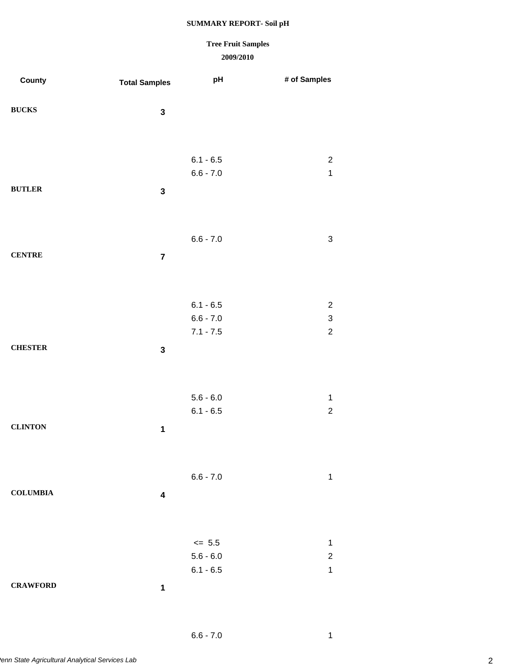# **Tree Fruit Samples**

| County          | <b>Total Samples</b>    | рH                         | # of Samples                  |
|-----------------|-------------------------|----------------------------|-------------------------------|
| <b>BUCKS</b>    | $\mathbf 3$             |                            |                               |
|                 |                         |                            |                               |
|                 |                         | $6.1 - 6.5$<br>$6.6 - 7.0$ | $\overline{c}$<br>$\mathbf 1$ |
| <b>BUTLER</b>   | $\mathbf 3$             |                            |                               |
|                 |                         |                            |                               |
| <b>CENTRE</b>   |                         | $6.6 - 7.0$                | $\ensuremath{\mathsf{3}}$     |
|                 | $\overline{\mathbf{7}}$ |                            |                               |
|                 |                         | $6.1 - 6.5$                | $\overline{c}$                |
|                 |                         | $6.6 - 7.0$                | $\mathfrak{S}$                |
|                 |                         | $7.1 - 7.5$                | $\overline{c}$                |
| <b>CHESTER</b>  | $\mathbf 3$             |                            |                               |
|                 |                         |                            |                               |
|                 |                         | $5.6 - 6.0$                | $\mathbf 1$<br>$\overline{c}$ |
| <b>CLINTON</b>  | $\mathbf 1$             | $6.1 - 6.5$                |                               |
|                 |                         |                            |                               |
|                 |                         | $6.6 - 7.0$                | 1                             |
| <b>COLUMBIA</b> | $\overline{\mathbf{4}}$ |                            |                               |
|                 |                         |                            |                               |
|                 |                         | $\leq$ 5.5                 | $\mathbf 1$                   |
|                 |                         | $5.6 - 6.0$<br>$6.1 - 6.5$ | $\overline{c}$<br>$\mathbf 1$ |
| <b>CRAWFORD</b> | $\mathbf 1$             |                            |                               |
|                 |                         |                            |                               |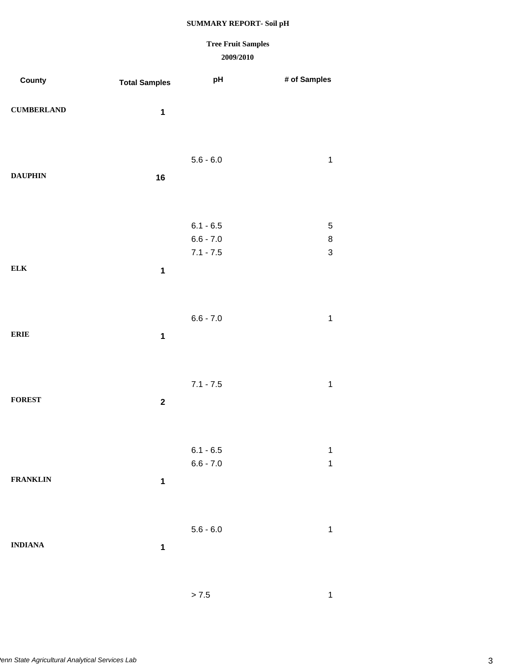## **Tree Fruit Samples**

| County            | <b>Total Samples</b> | рH                         | # of Samples                         |
|-------------------|----------------------|----------------------------|--------------------------------------|
| <b>CUMBERLAND</b> | $\mathbf 1$          |                            |                                      |
|                   |                      | $5.6 - 6.0$                | $\mathbf 1$                          |
| <b>DAUPHIN</b>    | 16                   |                            |                                      |
|                   |                      | $6.1 - 6.5$                | $\mathbf 5$                          |
|                   |                      | $6.6 - 7.0$<br>$7.1 - 7.5$ | $\bf 8$<br>$\ensuremath{\mathsf{3}}$ |
| ${\bf ELK}$       | $\mathbf 1$          |                            |                                      |
|                   |                      | $6.6 - 7.0$                | $\mathbf 1$                          |
| <b>ERIE</b>       | $\mathbf 1$          |                            |                                      |
|                   |                      | $7.1 - 7.5$                | $\mathbf 1$                          |
| <b>FOREST</b>     | $\boldsymbol{2}$     |                            |                                      |
|                   |                      | $6.1 - 6.5$                | $\mathbf 1$                          |
| <b>FRANKLIN</b>   | $\mathbf 1$          | $6.6 - 7.0$                | 1                                    |
|                   |                      |                            |                                      |
| <b>INDIANA</b>    | $\mathbf 1$          | $5.6 - 6.0$                | $\mathbf 1$                          |
|                   |                      |                            |                                      |
|                   |                      | > 7.5                      | 1                                    |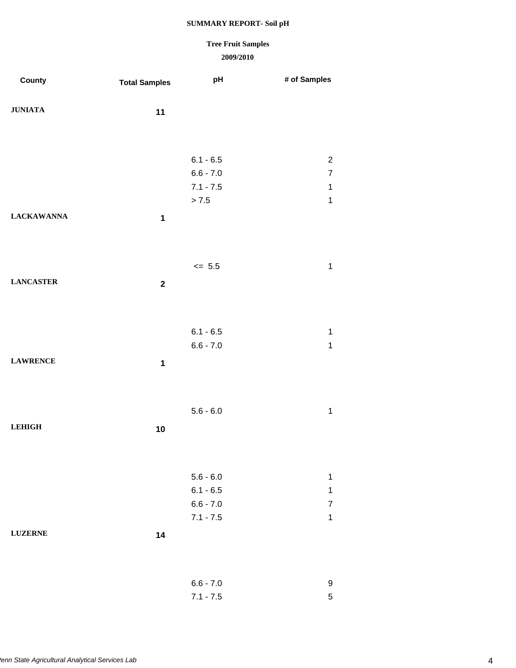# **Tree Fruit Samples**

| County            | <b>Total Samples</b> | pH                         | # of Samples                     |
|-------------------|----------------------|----------------------------|----------------------------------|
|                   |                      |                            |                                  |
| <b>JUNIATA</b>    | 11                   |                            |                                  |
|                   |                      |                            |                                  |
|                   |                      |                            |                                  |
|                   |                      | $6.1 - 6.5$                | $\boldsymbol{2}$                 |
|                   |                      | $6.6 - 7.0$                | $\boldsymbol{7}$                 |
|                   |                      | $7.1 - 7.5$                | $\mathbf{1}$                     |
|                   |                      | $> 7.5$                    | $\mathbf 1$                      |
| <b>LACKAWANNA</b> | $\mathbf 1$          |                            |                                  |
|                   |                      |                            |                                  |
|                   |                      |                            |                                  |
|                   |                      | $\leq$ 5.5                 | $\mathbf{1}$                     |
| <b>LANCASTER</b>  |                      |                            |                                  |
|                   | $\mathbf 2$          |                            |                                  |
|                   |                      |                            |                                  |
|                   |                      |                            |                                  |
|                   |                      | $6.1 - 6.5$                | $\mathbf{1}$                     |
|                   |                      | $6.6 - 7.0$                | $\mathbf{1}$                     |
| <b>LAWRENCE</b>   | $\mathbf 1$          |                            |                                  |
|                   |                      |                            |                                  |
|                   |                      |                            |                                  |
|                   |                      | $5.6 - 6.0$                | $\mathbf{1}$                     |
| <b>LEHIGH</b>     | 10                   |                            |                                  |
|                   |                      |                            |                                  |
|                   |                      |                            |                                  |
|                   |                      |                            |                                  |
|                   |                      | $5.6 - 6.0$                | $\mathbf{1}$                     |
|                   |                      | $6.1 - 6.5$<br>$6.6 - 7.0$ | $\mathbf{1}$<br>$\boldsymbol{7}$ |
|                   |                      | $7.1 - 7.5$                | $\mathbf{1}$                     |
| <b>LUZERNE</b>    |                      |                            |                                  |
|                   | 14                   |                            |                                  |
|                   |                      |                            |                                  |
|                   |                      |                            |                                  |
|                   |                      | $6.6 - 7.0$                | $\boldsymbol{9}$                 |
|                   |                      | $7.1 - 7.5$                | $\mathbf 5$                      |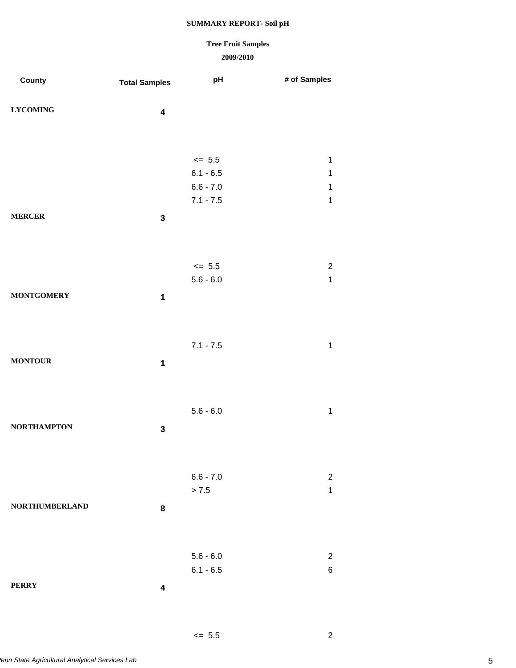# **Tree Fruit Samples**

### **2009/2010**

 $\leq$  5.5 2

| County                | <b>Total Samples</b>    | pH          | # of Samples   |
|-----------------------|-------------------------|-------------|----------------|
|                       |                         |             |                |
| <b>LYCOMING</b>       | $\overline{\mathbf{4}}$ |             |                |
|                       |                         |             |                |
|                       |                         |             |                |
|                       |                         | $\leq$ 5.5  | $\mathbf 1$    |
|                       |                         | $6.1 - 6.5$ | $\mathbf 1$    |
|                       |                         | $6.6 - 7.0$ | $\mathbf{1}$   |
|                       |                         | $7.1 - 7.5$ | $\mathbf 1$    |
| <b>MERCER</b>         | $\mathbf 3$             |             |                |
|                       |                         |             |                |
|                       |                         |             |                |
|                       |                         | $\leq$ 5.5  | $\sqrt{2}$     |
|                       |                         | $5.6 - 6.0$ | $\mathbf{1}$   |
| <b>MONTGOMERY</b>     | $\mathbf 1$             |             |                |
|                       |                         |             |                |
|                       |                         |             |                |
|                       |                         | $7.1 - 7.5$ | $\mathbf{1}$   |
| <b>MONTOUR</b>        | $\mathbf 1$             |             |                |
|                       |                         |             |                |
|                       |                         |             |                |
|                       |                         | $5.6 - 6.0$ | $\mathbf{1}$   |
| <b>NORTHAMPTON</b>    | $\mathbf 3$             |             |                |
|                       |                         |             |                |
|                       |                         |             |                |
|                       |                         | $6.6 - 7.0$ | $\overline{2}$ |
|                       |                         | $> 7.5$     | $\mathbf 1$    |
| <b>NORTHUMBERLAND</b> | 8                       |             |                |
|                       |                         |             |                |
|                       |                         |             |                |
|                       |                         | $5.6 - 6.0$ | $\sqrt{2}$     |
|                       |                         | $6.1 - 6.5$ | 6              |
| <b>PERRY</b>          | $\overline{\mathbf{4}}$ |             |                |
|                       |                         |             |                |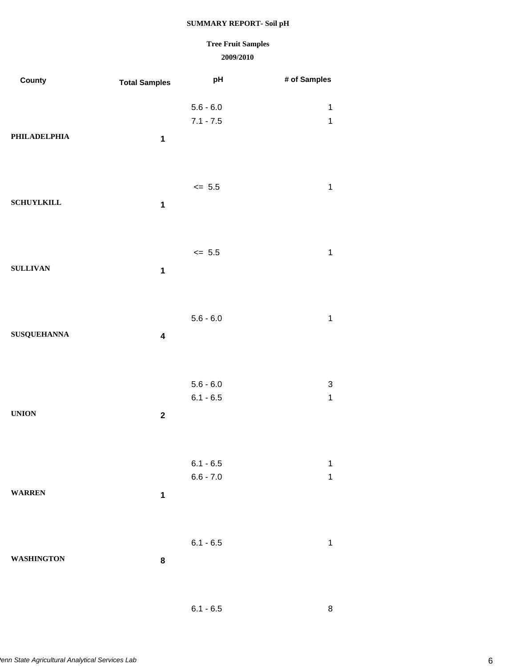### **2009/2010 Tree Fruit Samples**

| County             | <b>Total Samples</b>    | pH                         | # of Samples                |
|--------------------|-------------------------|----------------------------|-----------------------------|
| PHILADELPHIA       | $\mathbf 1$             | $5.6 - 6.0$<br>$7.1 - 7.5$ | $\mathbf{1}$<br>$\mathbf 1$ |
| <b>SCHUYLKILL</b>  | $\mathbf 1$             | $\leq$ 5.5                 | $\mathbf 1$                 |
| <b>SULLIVAN</b>    | $\mathbf 1$             | $\leq$ 5.5                 | $\mathbf 1$                 |
| <b>SUSQUEHANNA</b> | $\overline{\mathbf{4}}$ | $5.6 - 6.0$                | $\mathbf 1$                 |
| <b>UNION</b>       | $\mathbf 2$             | $5.6 - 6.0$<br>$6.1 - 6.5$ | 3<br>$\mathbf 1$            |
| <b>WARREN</b>      | $\mathbf 1$             | $6.1 - 6.5$<br>$6.6 - 7.0$ | $\mathbf 1$<br>$\mathbf 1$  |
| <b>WASHINGTON</b>  | 8                       | $6.1 - 6.5$                | $\mathbf{1}$                |
|                    |                         |                            |                             |

6.1 - 6.5 8